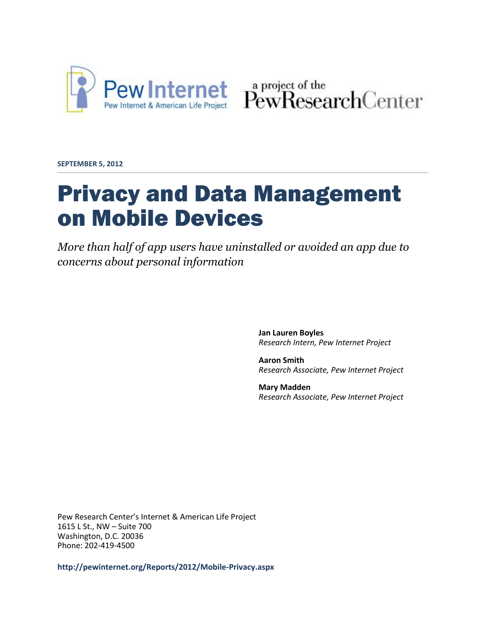

Pew Internet & American Life Project PewResearchCenter

**SEPTEMBER 5, 2012**

# Privacy and Data Management on Mobile Devices

*More than half of app users have uninstalled or avoided an app due to concerns about personal information*

> **Jan Lauren Boyles** *Research Intern, Pew Internet Project*

**Aaron Smith** *Research Associate, Pew Internet Project*

**Mary Madden** *Research Associate, Pew Internet Project*

Pew Research Center's Internet & American Life Project 1615 L St., NW – Suite 700 Washington, D.C. 20036 Phone: 202-419-4500

**<http://pewinternet.org/Reports/2012/Mobile-Privacy.aspx>**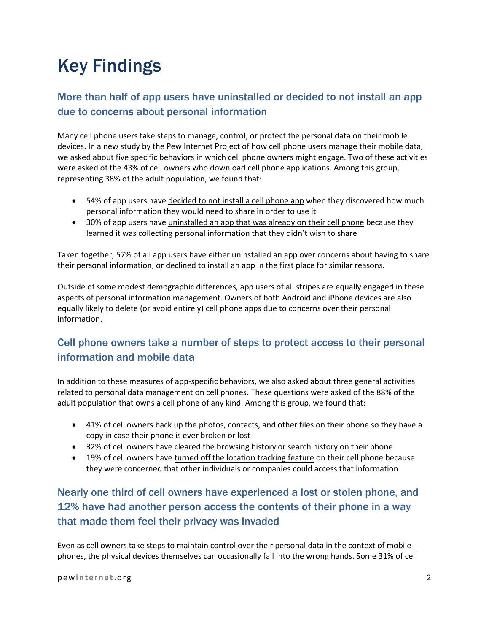# Key Findings

#### More than half of app users have uninstalled or decided to not install an app due to concerns about personal information

Many cell phone users take steps to manage, control, or protect the personal data on their mobile devices. In a new study by the Pew Internet Project of how cell phone users manage their mobile data, we asked about five specific behaviors in which cell phone owners might engage. Two of these activities were asked of the 43% of cell owners who download cell phone applications. Among this group, representing 38% of the adult population, we found that:

- 54% of app users have decided to not install a cell phone app when they discovered how much personal information they would need to share in order to use it
- 30% of app users have uninstalled an app that was already on their cell phone because they learned it was collecting personal information that they didn't wish to share

Taken together, 57% of all app users have either uninstalled an app over concerns about having to share their personal information, or declined to install an app in the first place for similar reasons.

Outside of some modest demographic differences, app users of all stripes are equally engaged in these aspects of personal information management. Owners of both Android and iPhone devices are also equally likely to delete (or avoid entirely) cell phone apps due to concerns over their personal information.

#### Cell phone owners take a number of steps to protect access to their personal information and mobile data

In addition to these measures of app-specific behaviors, we also asked about three general activities related to personal data management on cell phones. These questions were asked of the 88% of the adult population that owns a cell phone of any kind. Among this group, we found that:

- 41% of cell owners back up the photos, contacts, and other files on their phone so they have a copy in case their phone is ever broken or lost
- 32% of cell owners have cleared the browsing history or search history on their phone
- 19% of cell owners have turned off the location tracking feature on their cell phone because they were concerned that other individuals or companies could access that information

#### Nearly one third of cell owners have experienced a lost or stolen phone, and 12% have had another person access the contents of their phone in a way that made them feel their privacy was invaded

Even as cell owners take steps to maintain control over their personal data in the context of mobile phones, the physical devices themselves can occasionally fall into the wrong hands. Some 31% of cell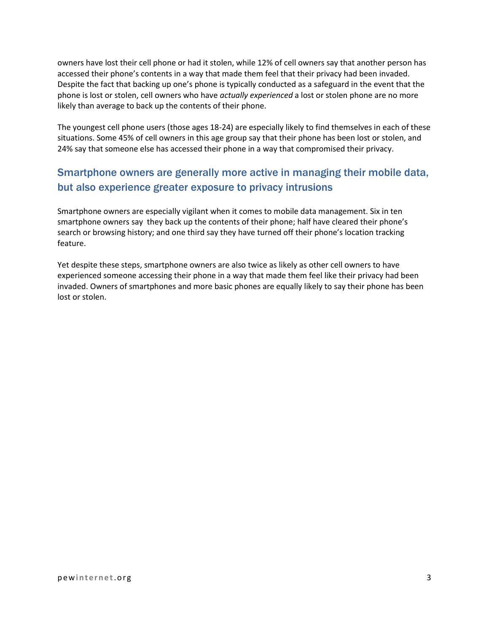owners have lost their cell phone or had it stolen, while 12% of cell owners say that another person has accessed their phone's contents in a way that made them feel that their privacy had been invaded. Despite the fact that backing up one's phone is typically conducted as a safeguard in the event that the phone is lost or stolen, cell owners who have *actually experienced* a lost or stolen phone are no more likely than average to back up the contents of their phone.

The youngest cell phone users (those ages 18-24) are especially likely to find themselves in each of these situations. Some 45% of cell owners in this age group say that their phone has been lost or stolen, and 24% say that someone else has accessed their phone in a way that compromised their privacy.

#### Smartphone owners are generally more active in managing their mobile data, but also experience greater exposure to privacy intrusions

Smartphone owners are especially vigilant when it comes to mobile data management. Six in ten smartphone owners say they back up the contents of their phone; half have cleared their phone's search or browsing history; and one third say they have turned off their phone's location tracking feature.

Yet despite these steps, smartphone owners are also twice as likely as other cell owners to have experienced someone accessing their phone in a way that made them feel like their privacy had been invaded. Owners of smartphones and more basic phones are equally likely to say their phone has been lost or stolen.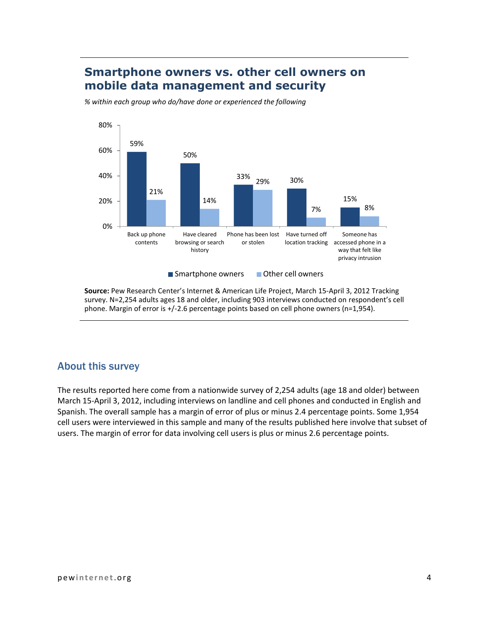#### **Smartphone owners vs. other cell owners on mobile data management and security**

*% within each group who do/have done or experienced the following*



**Source:** Pew Research Center's Internet & American Life Project, March 15-April 3, 2012 Tracking survey. N=2,254 adults ages 18 and older, including 903 interviews conducted on respondent's cell phone. Margin of error is +/-2.6 percentage points based on cell phone owners (n=1,954).

#### About this survey

The results reported here come from a nationwide survey of 2,254 adults (age 18 and older) between March 15-April 3, 2012, including interviews on landline and cell phones and conducted in English and Spanish. The overall sample has a margin of error of plus or minus 2.4 percentage points. Some 1,954 cell users were interviewed in this sample and many of the results published here involve that subset of users. The margin of error for data involving cell users is plus or minus 2.6 percentage points.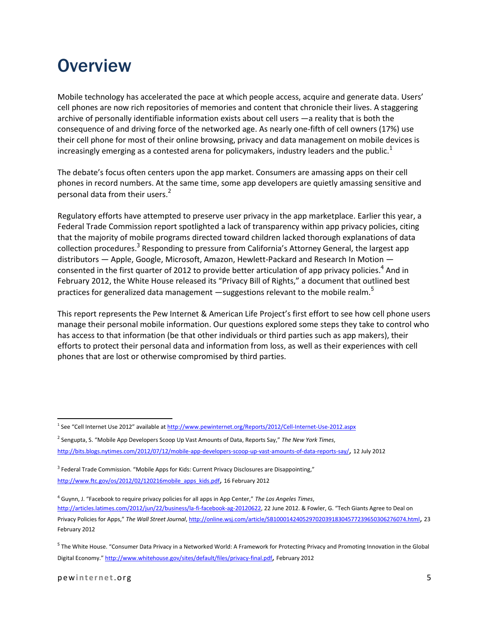## **Overview**

Mobile technology has accelerated the pace at which people access, acquire and generate data. Users' cell phones are now rich repositories of memories and content that chronicle their lives. A staggering archive of personally identifiable information exists about cell users —a reality that is both the consequence of and driving force of the networked age. As nearly one-fifth of cell owners (17%) use their cell phone for most of their online browsing, privacy and data management on mobile devices is increasingly emerging as a contested arena for policymakers, industry leaders and the public.<sup>1</sup>

The debate's focus often centers upon the app market. Consumers are amassing apps on their cell phones in record numbers. At the same time, some app developers are quietly amassing sensitive and personal data from their users.<sup>2</sup>

Regulatory efforts have attempted to preserve user privacy in the app marketplace. Earlier this year, a Federal Trade Commission report spotlighted a lack of transparency within app privacy policies, citing that the majority of mobile programs directed toward children lacked thorough explanations of data collection procedures.<sup>3</sup> Responding to pressure from California's Attorney General, the largest app distributors — Apple, Google, Microsoft, Amazon, Hewlett-Packard and Research In Motion consented in the first quarter of 2012 to provide better articulation of app privacy policies.<sup>4</sup> And in February 2012, the White House released its "Privacy Bill of Rights," a document that outlined best practices for generalized data management -suggestions relevant to the mobile realm.<sup>5</sup>

This report represents the Pew Internet & American Life Project's first effort to see how cell phone users manage their personal mobile information. Our questions explored some steps they take to control who has access to that information (be that other individuals or third parties such as app makers), their efforts to protect their personal data and information from loss, as well as their experiences with cell phones that are lost or otherwise compromised by third parties.

 $^3$  Federal Trade Commission. "Mobile Apps for Kids: Current Privacy Disclosures are Disappointing," [http://www.ftc.gov/os/2012/02/120216mobile\\_apps\\_kids.pdf](http://www.ftc.gov/os/2012/02/120216mobile_apps_kids.pdf), 16 February 2012

 $\overline{\phantom{a}}$ 

<sup>&</sup>lt;sup>1</sup> See "Cell Internet Use 2012" available at <http://www.pewinternet.org/Reports/2012/Cell-Internet-Use-2012.aspx>

<sup>2</sup> Sengupta, S. "Mobile App Developers Scoop Up Vast Amounts of Data, Reports Say," *The New York Times*, <http://bits.blogs.nytimes.com/2012/07/12/mobile-app-developers-scoop-up-vast-amounts-of-data-reports-say/>, 12 July 2012

<sup>4</sup> Guynn, J. "Facebook to require privacy policies for all apps in App Center," *The Los Angeles Times*, <http://articles.latimes.com/2012/jun/22/business/la-fi-facebook-ag-20120622>, 22 June 2012. & Fowler, G. "Tech Giants Agree to Deal on Privacy Policies for Apps," *The Wall Street Journal*[, http://online.wsj.com/article/SB10001424052970203918304577239650306276074.html](http://online.wsj.com/article/SB10001424052970203918304577239650306276074.html), 23 February 2012

<sup>&</sup>lt;sup>5</sup> The White House. "Consumer Data Privacy in a Networked World: A Framework for Protecting Privacy and Promoting Innovation in the Global Digital Economy." <http://www.whitehouse.gov/sites/default/files/privacy-final.pdf>, February 2012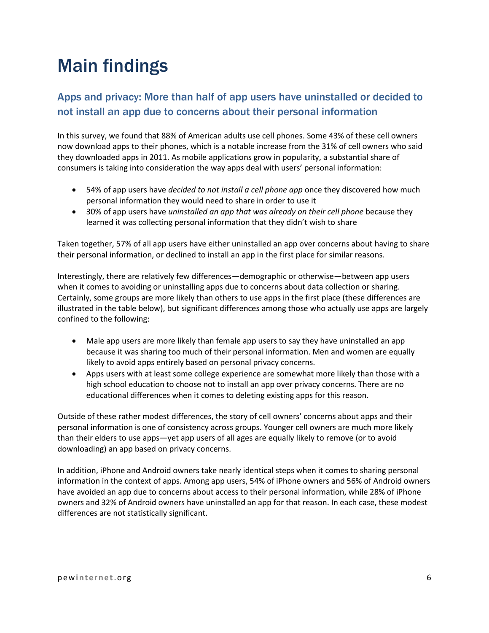## Main findings

#### Apps and privacy: More than half of app users have uninstalled or decided to not install an app due to concerns about their personal information

In this survey, we found that 88% of American adults use cell phones. Some 43% of these cell owners now download apps to their phones, which is a notable increase from the 31% of cell owners who said they downloaded apps in 2011. As mobile applications grow in popularity, a substantial share of consumers is taking into consideration the way apps deal with users' personal information:

- 54% of app users have *decided to not install a cell phone app* once they discovered how much personal information they would need to share in order to use it
- 30% of app users have *uninstalled an app that was already on their cell phone* because they learned it was collecting personal information that they didn't wish to share

Taken together, 57% of all app users have either uninstalled an app over concerns about having to share their personal information, or declined to install an app in the first place for similar reasons.

Interestingly, there are relatively few differences—demographic or otherwise—between app users when it comes to avoiding or uninstalling apps due to concerns about data collection or sharing. Certainly, some groups are more likely than others to use apps in the first place (these differences are illustrated in the table below), but significant differences among those who actually use apps are largely confined to the following:

- Male app users are more likely than female app users to say they have uninstalled an app because it was sharing too much of their personal information. Men and women are equally likely to avoid apps entirely based on personal privacy concerns.
- Apps users with at least some college experience are somewhat more likely than those with a high school education to choose not to install an app over privacy concerns. There are no educational differences when it comes to deleting existing apps for this reason.

Outside of these rather modest differences, the story of cell owners' concerns about apps and their personal information is one of consistency across groups. Younger cell owners are much more likely than their elders to use apps—yet app users of all ages are equally likely to remove (or to avoid downloading) an app based on privacy concerns.

In addition, iPhone and Android owners take nearly identical steps when it comes to sharing personal information in the context of apps. Among app users, 54% of iPhone owners and 56% of Android owners have avoided an app due to concerns about access to their personal information, while 28% of iPhone owners and 32% of Android owners have uninstalled an app for that reason. In each case, these modest differences are not statistically significant.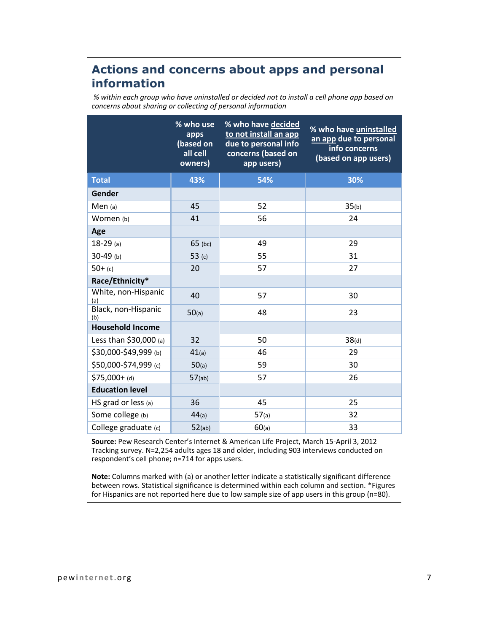### **Actions and concerns about apps and personal information**

*% within each group who have uninstalled or decided not to install a cell phone app based on concerns about sharing or collecting of personal information*

|                            | % who use<br>apps<br>(based on<br>all cell<br>owners) | % who have decided<br>to not install an app<br>due to personal info<br>concerns (based on<br>app users) | % who have uninstalled<br>an app due to personal<br>info concerns<br>(based on app users) |
|----------------------------|-------------------------------------------------------|---------------------------------------------------------------------------------------------------------|-------------------------------------------------------------------------------------------|
| <b>Total</b>               | 43%                                                   | 54%                                                                                                     | 30%                                                                                       |
| Gender                     |                                                       |                                                                                                         |                                                                                           |
| Men $(a)$                  | 45                                                    | 52                                                                                                      | 35(b)                                                                                     |
| Women (b)                  | 41                                                    | 56                                                                                                      | 24                                                                                        |
| Age                        |                                                       |                                                                                                         |                                                                                           |
| $18-29$ (a)                | $65$ (bc)                                             | 49                                                                                                      | 29                                                                                        |
| $30-49$ (b)                | 53 $(c)$                                              | 55                                                                                                      | 31                                                                                        |
| $50+$ (c)                  | 20                                                    | 57                                                                                                      | 27                                                                                        |
| Race/Ethnicity*            |                                                       |                                                                                                         |                                                                                           |
| White, non-Hispanic<br>(a) | 40                                                    | 57                                                                                                      | 30                                                                                        |
| Black, non-Hispanic<br>(b) | 50(a)                                                 | 48                                                                                                      | 23                                                                                        |
| <b>Household Income</b>    |                                                       |                                                                                                         |                                                                                           |
| Less than $$30,000$ (a)    | 32                                                    | 50                                                                                                      | 38(d)                                                                                     |
| \$30,000-\$49,999 (b)      | 41(a)                                                 | 46                                                                                                      | 29                                                                                        |
| \$50,000-\$74,999 (c)      | 50(a)                                                 | 59                                                                                                      | 30                                                                                        |
| $$75,000+$ (d)             | $57$ (ab)                                             | 57                                                                                                      | 26                                                                                        |
| <b>Education level</b>     |                                                       |                                                                                                         |                                                                                           |
| HS grad or less (a)        | 36                                                    | 45                                                                                                      | 25                                                                                        |
| Some college (b)           | 44(a)                                                 | 57(a)                                                                                                   | 32                                                                                        |
| College graduate (c)       | 52(ab)                                                | 60(a)                                                                                                   | 33                                                                                        |

**Source:** Pew Research Center's Internet & American Life Project, March 15-April 3, 2012 Tracking survey. N=2,254 adults ages 18 and older, including 903 interviews conducted on respondent's cell phone; n=714 for apps users.

**Note:** Columns marked with (a) or another letter indicate a statistically significant difference between rows. Statistical significance is determined within each column and section. \*Figures for Hispanics are not reported here due to low sample size of app users in this group (n=80).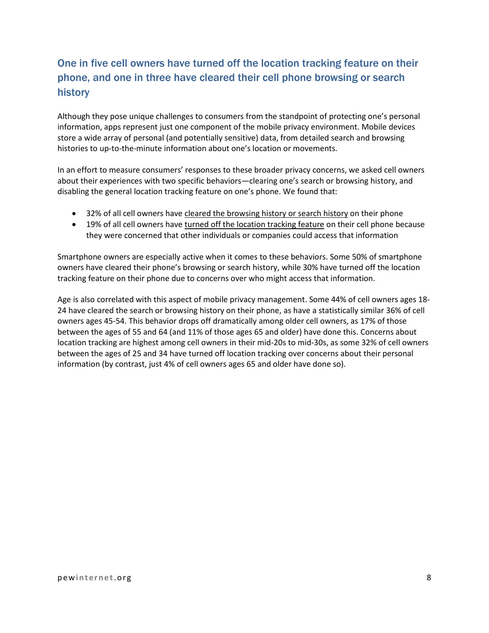### One in five cell owners have turned off the location tracking feature on their phone, and one in three have cleared their cell phone browsing or search history

Although they pose unique challenges to consumers from the standpoint of protecting one's personal information, apps represent just one component of the mobile privacy environment. Mobile devices store a wide array of personal (and potentially sensitive) data, from detailed search and browsing histories to up-to-the-minute information about one's location or movements.

In an effort to measure consumers' responses to these broader privacy concerns, we asked cell owners about their experiences with two specific behaviors—clearing one's search or browsing history, and disabling the general location tracking feature on one's phone. We found that:

- 32% of all cell owners have cleared the browsing history or search history on their phone
- 19% of all cell owners have turned off the location tracking feature on their cell phone because they were concerned that other individuals or companies could access that information

Smartphone owners are especially active when it comes to these behaviors. Some 50% of smartphone owners have cleared their phone's browsing or search history, while 30% have turned off the location tracking feature on their phone due to concerns over who might access that information.

Age is also correlated with this aspect of mobile privacy management. Some 44% of cell owners ages 18- 24 have cleared the search or browsing history on their phone, as have a statistically similar 36% of cell owners ages 45-54. This behavior drops off dramatically among older cell owners, as 17% of those between the ages of 55 and 64 (and 11% of those ages 65 and older) have done this. Concerns about location tracking are highest among cell owners in their mid-20s to mid-30s, as some 32% of cell owners between the ages of 25 and 34 have turned off location tracking over concerns about their personal information (by contrast, just 4% of cell owners ages 65 and older have done so).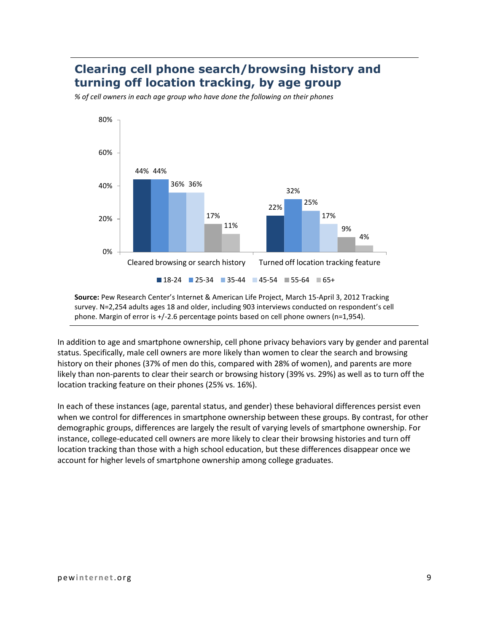### **Clearing cell phone search/browsing history and turning off location tracking, by age group**

*% of cell owners in each age group who have done the following on their phones*



**Source:** Pew Research Center's Internet & American Life Project, March 15-April 3, 2012 Tracking survey. N=2,254 adults ages 18 and older, including 903 interviews conducted on respondent's cell phone. Margin of error is +/-2.6 percentage points based on cell phone owners (n=1,954).

In addition to age and smartphone ownership, cell phone privacy behaviors vary by gender and parental status. Specifically, male cell owners are more likely than women to clear the search and browsing history on their phones (37% of men do this, compared with 28% of women), and parents are more likely than non-parents to clear their search or browsing history (39% vs. 29%) as well as to turn off the location tracking feature on their phones (25% vs. 16%).

In each of these instances (age, parental status, and gender) these behavioral differences persist even when we control for differences in smartphone ownership between these groups. By contrast, for other demographic groups, differences are largely the result of varying levels of smartphone ownership. For instance, college-educated cell owners are more likely to clear their browsing histories and turn off location tracking than those with a high school education, but these differences disappear once we account for higher levels of smartphone ownership among college graduates.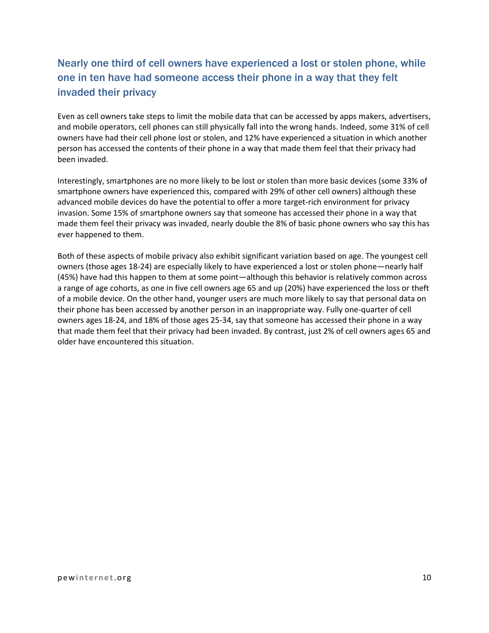### Nearly one third of cell owners have experienced a lost or stolen phone, while one in ten have had someone access their phone in a way that they felt invaded their privacy

Even as cell owners take steps to limit the mobile data that can be accessed by apps makers, advertisers, and mobile operators, cell phones can still physically fall into the wrong hands. Indeed, some 31% of cell owners have had their cell phone lost or stolen, and 12% have experienced a situation in which another person has accessed the contents of their phone in a way that made them feel that their privacy had been invaded.

Interestingly, smartphones are no more likely to be lost or stolen than more basic devices (some 33% of smartphone owners have experienced this, compared with 29% of other cell owners) although these advanced mobile devices do have the potential to offer a more target-rich environment for privacy invasion. Some 15% of smartphone owners say that someone has accessed their phone in a way that made them feel their privacy was invaded, nearly double the 8% of basic phone owners who say this has ever happened to them.

Both of these aspects of mobile privacy also exhibit significant variation based on age. The youngest cell owners (those ages 18-24) are especially likely to have experienced a lost or stolen phone—nearly half (45%) have had this happen to them at some point—although this behavior is relatively common across a range of age cohorts, as one in five cell owners age 65 and up (20%) have experienced the loss or theft of a mobile device. On the other hand, younger users are much more likely to say that personal data on their phone has been accessed by another person in an inappropriate way. Fully one-quarter of cell owners ages 18-24, and 18% of those ages 25-34, say that someone has accessed their phone in a way that made them feel that their privacy had been invaded. By contrast, just 2% of cell owners ages 65 and older have encountered this situation.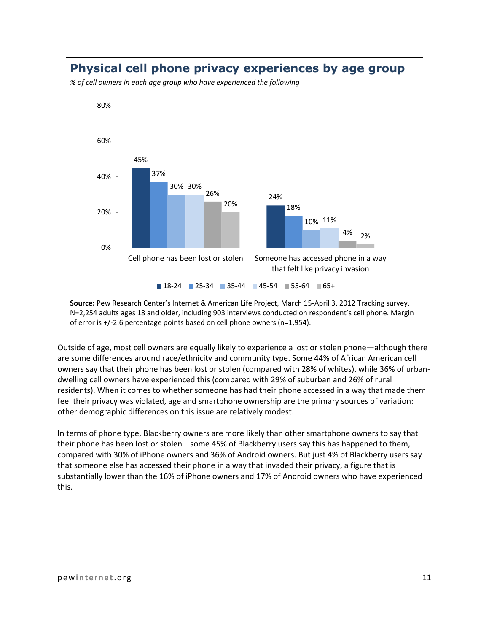#### **Physical cell phone privacy experiences by age group**

*% of cell owners in each age group who have experienced the following*



**Source:** Pew Research Center's Internet & American Life Project, March 15-April 3, 2012 Tracking survey. N=2,254 adults ages 18 and older, including 903 interviews conducted on respondent's cell phone. Margin of error is +/-2.6 percentage points based on cell phone owners (n=1,954).

Outside of age, most cell owners are equally likely to experience a lost or stolen phone—although there are some differences around race/ethnicity and community type. Some 44% of African American cell owners say that their phone has been lost or stolen (compared with 28% of whites), while 36% of urbandwelling cell owners have experienced this (compared with 29% of suburban and 26% of rural residents). When it comes to whether someone has had their phone accessed in a way that made them feel their privacy was violated, age and smartphone ownership are the primary sources of variation: other demographic differences on this issue are relatively modest.

In terms of phone type, Blackberry owners are more likely than other smartphone owners to say that their phone has been lost or stolen—some 45% of Blackberry users say this has happened to them, compared with 30% of iPhone owners and 36% of Android owners. But just 4% of Blackberry users say that someone else has accessed their phone in a way that invaded their privacy, a figure that is substantially lower than the 16% of iPhone owners and 17% of Android owners who have experienced this.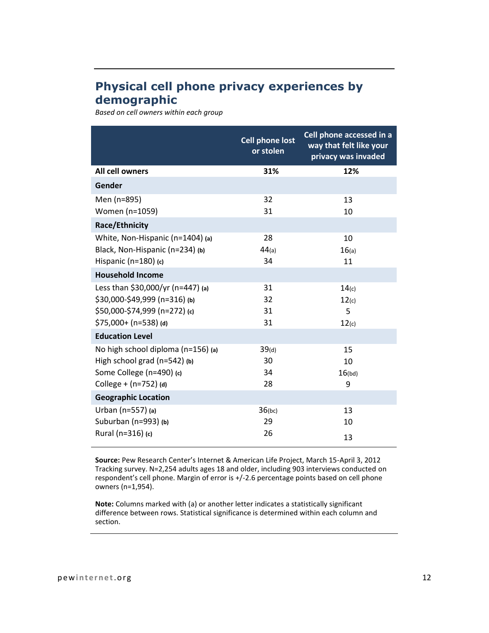### **Physical cell phone privacy experiences by demographic**

*Based on cell owners within each group*

|                                    | <b>Cell phone lost</b><br>or stolen | Cell phone accessed in a<br>way that felt like your<br>privacy was invaded |
|------------------------------------|-------------------------------------|----------------------------------------------------------------------------|
| <b>All cell owners</b>             | 31%                                 | 12%                                                                        |
| Gender                             |                                     |                                                                            |
| Men (n=895)                        | 32                                  | 13                                                                         |
| Women (n=1059)                     | 31                                  | 10                                                                         |
| Race/Ethnicity                     |                                     |                                                                            |
| White, Non-Hispanic (n=1404) (a)   | 28                                  | 10                                                                         |
| Black, Non-Hispanic (n=234) (b)    | 44(a)                               | 16(a)                                                                      |
| Hispanic ( $n=180$ ) (c)           | 34                                  | 11                                                                         |
| <b>Household Income</b>            |                                     |                                                                            |
| Less than \$30,000/yr (n=447) (a)  | 31                                  | 14(c)                                                                      |
| $$30,000-\$49,999$ (n=316) (b)     | 32                                  | 12(c)                                                                      |
| \$50,000-\$74,999 (n=272) (c)      | 31                                  | 5                                                                          |
| $$75,000+ (n=538)$ (d)             | 31                                  | 12(c)                                                                      |
| <b>Education Level</b>             |                                     |                                                                            |
| No high school diploma (n=156) (a) | 39(d)                               | 15                                                                         |
| High school grad $(n=542)$ (b)     | 30                                  | 10                                                                         |
| Some College (n=490) (c)           | 34                                  | 16(bd)                                                                     |
| College + $(n=752)$ (d)            | 28                                  | 9                                                                          |
| <b>Geographic Location</b>         |                                     |                                                                            |
| Urban (n=557) (a)                  | $36$ (bc)                           | 13                                                                         |
| Suburban (n=993) (b)               | 29                                  | 10                                                                         |
| Rural (n=316) (c)                  | 26                                  | 13                                                                         |

**Source:** Pew Research Center's Internet & American Life Project, March 15-April 3, 2012 Tracking survey. N=2,254 adults ages 18 and older, including 903 interviews conducted on respondent's cell phone. Margin of error is +/-2.6 percentage points based on cell phone owners (n=1,954).

**Note:** Columns marked with (a) or another letter indicates a statistically significant difference between rows. Statistical significance is determined within each column and section.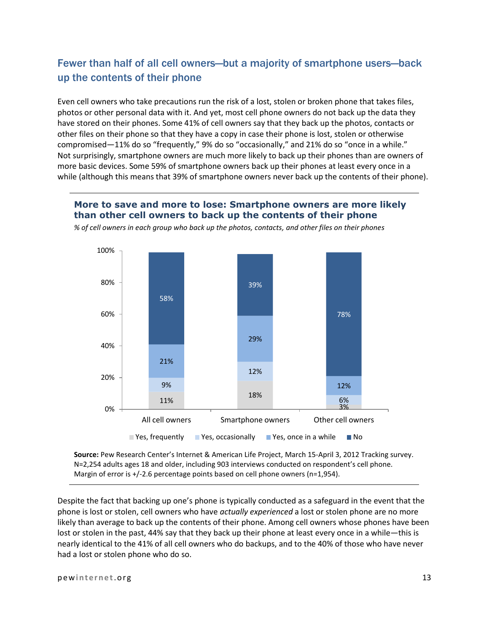### Fewer than half of all cell owners—but a majority of smartphone users—back up the contents of their phone

Even cell owners who take precautions run the risk of a lost, stolen or broken phone that takes files, photos or other personal data with it. And yet, most cell phone owners do not back up the data they have stored on their phones. Some 41% of cell owners say that they back up the photos, contacts or other files on their phone so that they have a copy in case their phone is lost, stolen or otherwise compromised—11% do so "frequently," 9% do so "occasionally," and 21% do so "once in a while." Not surprisingly, smartphone owners are much more likely to back up their phones than are owners of more basic devices. Some 59% of smartphone owners back up their phones at least every once in a while (although this means that 39% of smartphone owners never back up the contents of their phone).

#### **More to save and more to lose: Smartphone owners are more likely than other cell owners to back up the contents of their phone**



*% of cell owners in each group who back up the photos, contacts, and other files on their phones*

**Source:** Pew Research Center's Internet & American Life Project, March 15-April 3, 2012 Tracking survey. N=2,254 adults ages 18 and older, including 903 interviews conducted on respondent's cell phone. Margin of error is +/-2.6 percentage points based on cell phone owners (n=1,954).

Despite the fact that backing up one's phone is typically conducted as a safeguard in the event that the phone is lost or stolen, cell owners who have *actually experienced* a lost or stolen phone are no more likely than average to back up the contents of their phone. Among cell owners whose phones have been lost or stolen in the past, 44% say that they back up their phone at least every once in a while—this is nearly identical to the 41% of all cell owners who do backups, and to the 40% of those who have never had a lost or stolen phone who do so.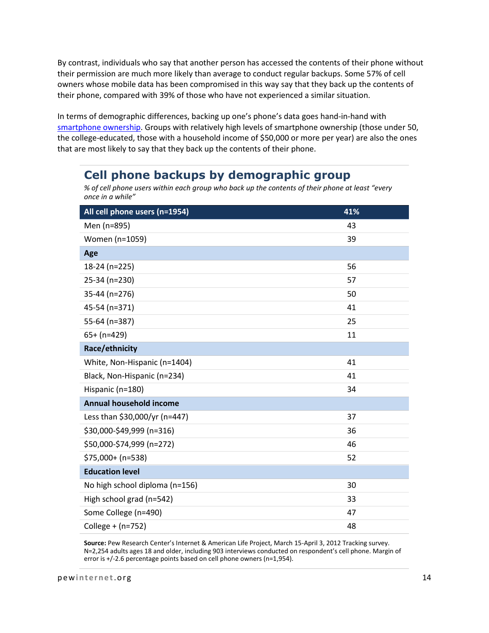By contrast, individuals who say that another person has accessed the contents of their phone without their permission are much more likely than average to conduct regular backups. Some 57% of cell owners whose mobile data has been compromised in this way say that they back up the contents of their phone, compared with 39% of those who have not experienced a similar situation.

In terms of demographic differences, backing up one's phone's data goes hand-in-hand with [smartphone ownership.](http://pewinternet.org/Reports/2012/Smartphone-Update-2012.aspx) Groups with relatively high levels of smartphone ownership (those under 50, the college-educated, those with a household income of \$50,000 or more per year) are also the ones that are most likely to say that they back up the contents of their phone.

### **Cell phone backups by demographic group**

*<sup>%</sup> of cell phone users within each group who back up the contents of their phone at least "every once in a while"*

| All cell phone users (n=1954)  | 41% |  |
|--------------------------------|-----|--|
| Men (n=895)                    | 43  |  |
| Women (n=1059)                 | 39  |  |
| Age                            |     |  |
| 18-24 (n=225)                  | 56  |  |
| 25-34 (n=230)                  | 57  |  |
| 35-44 (n=276)                  | 50  |  |
| 45-54 (n=371)                  | 41  |  |
| 55-64 (n=387)                  | 25  |  |
| $65+ (n=429)$                  | 11  |  |
| Race/ethnicity                 |     |  |
| White, Non-Hispanic (n=1404)   | 41  |  |
| Black, Non-Hispanic (n=234)    | 41  |  |
| Hispanic (n=180)               | 34  |  |
| <b>Annual household income</b> |     |  |
| Less than \$30,000/yr (n=447)  | 37  |  |
| \$30,000-\$49,999 (n=316)      | 36  |  |
| \$50,000-\$74,999 (n=272)      | 46  |  |
| $$75,000+ (n=538)$             | 52  |  |
| <b>Education level</b>         |     |  |
| No high school diploma (n=156) | 30  |  |
| High school grad (n=542)       | 33  |  |
| Some College (n=490)           | 47  |  |
| College + (n=752)              | 48  |  |

**Source:** Pew Research Center's Internet & American Life Project, March 15-April 3, 2012 Tracking survey. N=2,254 adults ages 18 and older, including 903 interviews conducted on respondent's cell phone. Margin of error is +/-2.6 percentage points based on cell phone owners (n=1,954).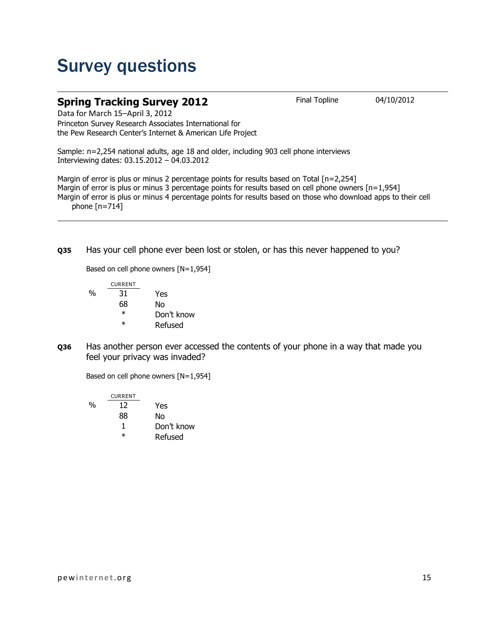## Survey questions

#### **Spring Tracking Survey 2012** Final Topline 04/10/2012

Data for March 15–April 3, 2012 Princeton Survey Research Associates International for the Pew Research Center's Internet & American Life Project

Sample: n=2,254 national adults, age 18 and older, including 903 cell phone interviews Interviewing dates: 03.15.2012 – 04.03.2012

Margin of error is plus or minus 2 percentage points for results based on Total [n=2,254] Margin of error is plus or minus 3 percentage points for results based on cell phone owners [n=1,954] Margin of error is plus or minus 4 percentage points for results based on those who download apps to their cell phone  $[n=714]$ 

**Q35** Has your cell phone ever been lost or stolen, or has this never happened to you?

Based on cell phone owners [N=1,954]

|   | <b>CURRENT</b> |            |
|---|----------------|------------|
| % | 31             | Yes        |
|   | 68             | Nο         |
|   | $^\ast$        | Don't know |
|   | ж              | Refused    |

**Q36** Has another person ever accessed the contents of your phone in a way that made you feel your privacy was invaded?

Based on cell phone owners [N=1,954]

CURRENT % 12 Yes 88 No 1 Don't know \* Refused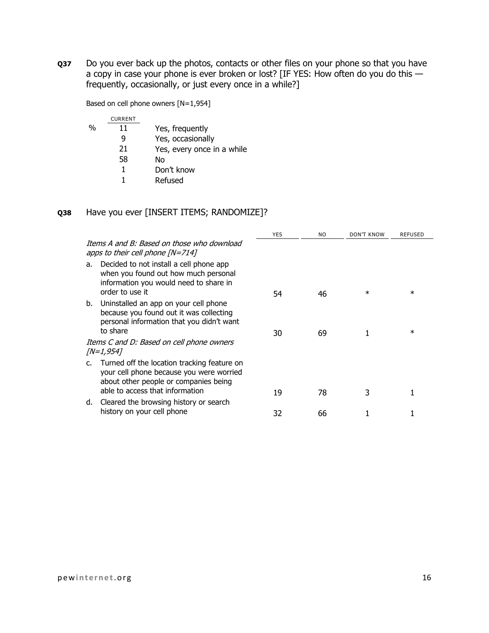**Q37** Do you ever back up the photos, contacts or other files on your phone so that you have a copy in case your phone is ever broken or lost? [IF YES: How often do you do this frequently, occasionally, or just every once in a while?]

Based on cell phone owners [N=1,954]

|               | <b>CURRENT</b> |                            |
|---------------|----------------|----------------------------|
| $\frac{0}{0}$ | 11             | Yes, frequently            |
|               | q              | Yes, occasionally          |
|               | 21             | Yes, every once in a while |
|               | 58             | Nο                         |
|               |                | Don't know                 |
|               |                | Refused                    |

#### **Q38** Have you ever [INSERT ITEMS; RANDOMIZE]?

|    |                                                                                                                                              | <b>YES</b> | N <sub>O</sub> | <b>DON'T KNOW</b> | REFUSED |
|----|----------------------------------------------------------------------------------------------------------------------------------------------|------------|----------------|-------------------|---------|
|    | Items A and B: Based on those who download<br>apps to their cell phone $[N=714]$                                                             |            |                |                   |         |
| a. | Decided to not install a cell phone app<br>when you found out how much personal<br>information you would need to share in<br>order to use it | 54         | 46             | $\ast$            | $\ast$  |
|    | b. Uninstalled an app on your cell phone<br>because you found out it was collecting<br>personal information that you didn't want<br>to share | 30         | 69             |                   | $^\ast$ |
|    | Items C and D: Based on cell phone owners<br>[N=1,954]                                                                                       |            |                |                   |         |
| C. | Turned off the location tracking feature on<br>your cell phone because you were worried<br>about other people or companies being             |            |                |                   |         |
|    | able to access that information<br>d. Cleared the browsing history or search                                                                 | 19         | 78             | 3                 |         |
|    | history on your cell phone                                                                                                                   | 32         | 66             |                   |         |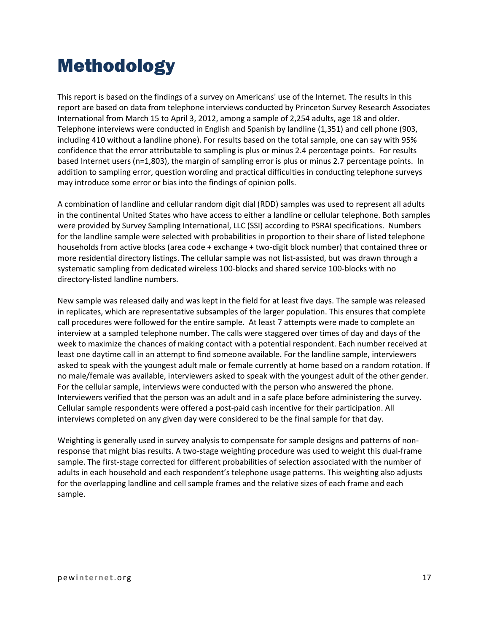## Methodology

This report is based on the findings of a survey on Americans' use of the Internet. The results in this report are based on data from telephone interviews conducted by Princeton Survey Research Associates International from March 15 to April 3, 2012, among a sample of 2,254 adults, age 18 and older. Telephone interviews were conducted in English and Spanish by landline (1,351) and cell phone (903, including 410 without a landline phone). For results based on the total sample, one can say with 95% confidence that the error attributable to sampling is plus or minus 2.4 percentage points. For results based Internet users (n=1,803), the margin of sampling error is plus or minus 2.7 percentage points. In addition to sampling error, question wording and practical difficulties in conducting telephone surveys may introduce some error or bias into the findings of opinion polls.

A combination of landline and cellular random digit dial (RDD) samples was used to represent all adults in the continental United States who have access to either a landline or cellular telephone. Both samples were provided by Survey Sampling International, LLC (SSI) according to PSRAI specifications. Numbers for the landline sample were selected with probabilities in proportion to their share of listed telephone households from active blocks (area code + exchange + two-digit block number) that contained three or more residential directory listings. The cellular sample was not list-assisted, but was drawn through a systematic sampling from dedicated wireless 100-blocks and shared service 100-blocks with no directory-listed landline numbers.

New sample was released daily and was kept in the field for at least five days. The sample was released in replicates, which are representative subsamples of the larger population. This ensures that complete call procedures were followed for the entire sample. At least 7 attempts were made to complete an interview at a sampled telephone number. The calls were staggered over times of day and days of the week to maximize the chances of making contact with a potential respondent. Each number received at least one daytime call in an attempt to find someone available. For the landline sample, interviewers asked to speak with the youngest adult male or female currently at home based on a random rotation. If no male/female was available, interviewers asked to speak with the youngest adult of the other gender. For the cellular sample, interviews were conducted with the person who answered the phone. Interviewers verified that the person was an adult and in a safe place before administering the survey. Cellular sample respondents were offered a post-paid cash incentive for their participation. All interviews completed on any given day were considered to be the final sample for that day.

Weighting is generally used in survey analysis to compensate for sample designs and patterns of nonresponse that might bias results. A two-stage weighting procedure was used to weight this dual-frame sample. The first-stage corrected for different probabilities of selection associated with the number of adults in each household and each respondent's telephone usage patterns. This weighting also adjusts for the overlapping landline and cell sample frames and the relative sizes of each frame and each sample.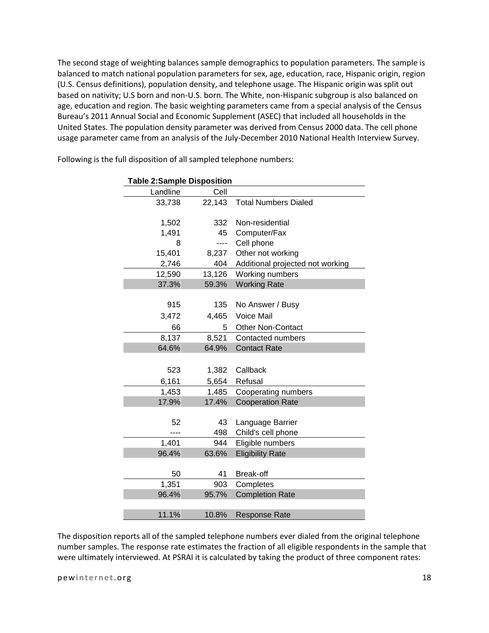The second stage of weighting balances sample demographics to population parameters. The sample is balanced to match national population parameters for sex, age, education, race, Hispanic origin, region (U.S. Census definitions), population density, and telephone usage. The Hispanic origin was split out based on nativity; U.S born and non-U.S. born. The White, non-Hispanic subgroup is also balanced on age, education and region. The basic weighting parameters came from a special analysis of the Census Bureau's 2011 Annual Social and Economic Supplement (ASEC) that included all households in the United States. The population density parameter was derived from Census 2000 data. The cell phone usage parameter came from an analysis of the July-December 2010 National Health Interview Survey.

| <b>Table 2:Sample Disposition</b> |        |                                  |  |
|-----------------------------------|--------|----------------------------------|--|
| Landline                          | Cell   |                                  |  |
| 33,738                            | 22,143 | <b>Total Numbers Dialed</b>      |  |
|                                   |        |                                  |  |
| 1,502                             | 332    | Non-residential                  |  |
| 1,491                             | 45     | Computer/Fax                     |  |
| 8                                 | ----   | Cell phone                       |  |
| 15,401                            | 8,237  | Other not working                |  |
| 2,746                             | 404    | Additional projected not working |  |
| 12,590                            | 13,126 | Working numbers                  |  |
| 37.3%                             | 59.3%  | <b>Working Rate</b>              |  |
|                                   |        |                                  |  |
| 915                               | 135    | No Answer / Busy                 |  |
| 3,472                             | 4,465  | Voice Mail                       |  |
| 66                                | 5      | <b>Other Non-Contact</b>         |  |
| 8,137                             | 8,521  | Contacted numbers                |  |
| 64.6%                             | 64.9%  | <b>Contact Rate</b>              |  |
|                                   |        |                                  |  |
| 523                               | 1,382  | Callback                         |  |
| 6,161                             | 5,654  | Refusal                          |  |
| 1,453                             | 1,485  | Cooperating numbers              |  |
| 17.9%                             | 17.4%  | <b>Cooperation Rate</b>          |  |
|                                   |        |                                  |  |
| 52                                | 43     | Language Barrier                 |  |
|                                   | 498    | Child's cell phone               |  |
| 1,401                             | 944    | Eligible numbers                 |  |
| 96.4%                             | 63.6%  | <b>Eligibility Rate</b>          |  |
|                                   |        |                                  |  |
| 50                                | 41     | Break-off                        |  |
| 1,351                             | 903    | Completes                        |  |
| 96.4%                             | 95.7%  | <b>Completion Rate</b>           |  |
|                                   |        |                                  |  |
| 11.1%                             | 10.8%  | <b>Response Rate</b>             |  |

Following is the full disposition of all sampled telephone numbers:

The disposition reports all of the sampled telephone numbers ever dialed from the original telephone number samples. The response rate estimates the fraction of all eligible respondents in the sample that were ultimately interviewed. At PSRAI it is calculated by taking the product of three component rates: